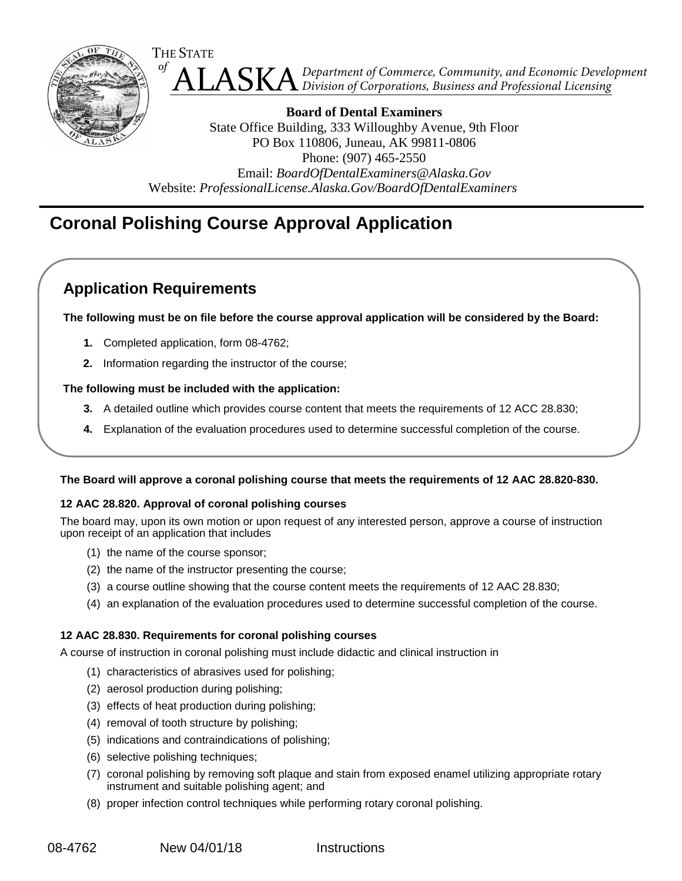

 ALASKA *of Department of Commerce, Community, and Economic Development Division of Corporations, Business and Professional Licensing*

**Board of Dental Examiners** State Office Building, 333 Willoughby Avenue, 9th Floor PO Box 110806, Juneau, AK 99811-0806 Phone: (907) 465-2550 Email: *[BoardOfDentalExaminers@Alaska.Gov](mailto:BoardOfDentalExaminers@Alaska.Gov)* Website: *[ProfessionalLicense.Alaska.Gov/BoardOfDentalExaminers](http://professionallicense.alaska.gov/BoardOfDentalExaminers)*

# **Coronal Polishing Course Approval Application**

# **Application Requirements**

**The following must be on file before the course approval application will be considered by the Board:**

- **1.** Completed application, form 08-4762;
- **2.** Information regarding the instructor of the course;

## **The following must be included with the application:**

- **3.** A detailed outline which provides course content that meets the requirements of 12 ACC 28.830;
- **4.** Explanation of the evaluation procedures used to determine successful completion of the course.

#### **The Board will approve a coronal polishing course that meets the requirements of 12 AAC 28.820-830.**

#### **12 AAC 28.820. Approval of coronal polishing courses**

The board may, upon its own motion or upon request of any interested person, approve a course of instruction upon receipt of an application that includes

- (1) the name of the course sponsor;
- (2) the name of the instructor presenting the course;
- (3) a course outline showing that the course content meets the requirements of 12 AAC 28.830;
- (4) an explanation of the evaluation procedures used to determine successful completion of the course.

#### **12 AAC 28.830. Requirements for coronal polishing courses**

A course of instruction in coronal polishing must include didactic and clinical instruction in

- (1) characteristics of abrasives used for polishing;
- (2) aerosol production during polishing;
- (3) effects of heat production during polishing;
- (4) removal of tooth structure by polishing;
- (5) indications and contraindications of polishing;
- (6) selective polishing techniques;
- (7) coronal polishing by removing soft plaque and stain from exposed enamel utilizing appropriate rotary instrument and suitable polishing agent; and
- (8) proper infection control techniques while performing rotary coronal polishing.